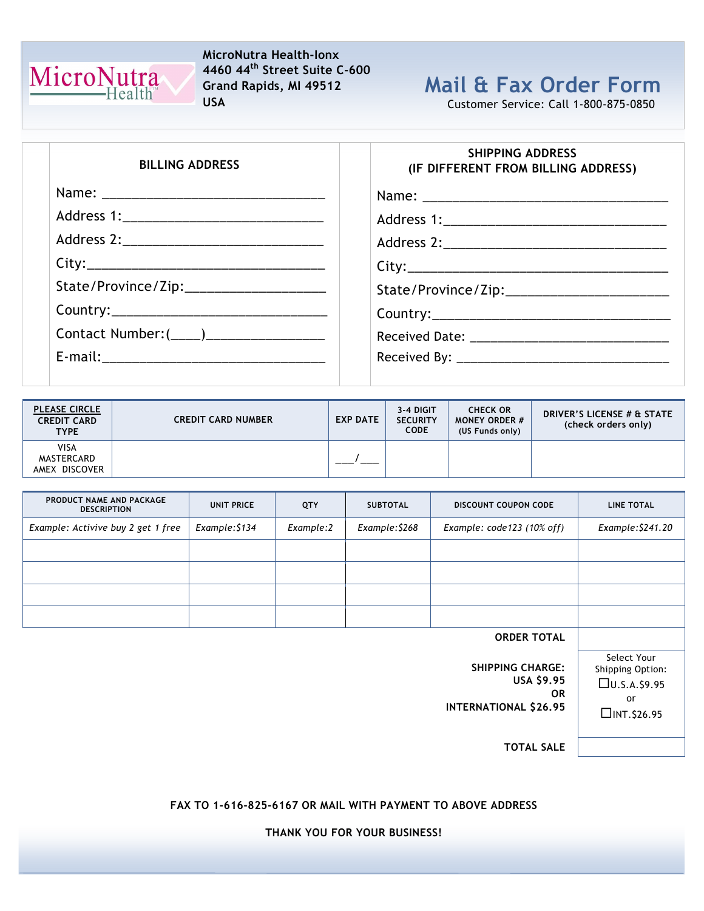

## MicroNutra Health-Ionx 4460 44th Street Suite C-600 Grand Rapids, MI 49512 USA

## Mail & Fax Order Form

Customer Service: Call 1-800-875-0850

| <b>BILLING ADDRESS</b>                    | <b>SHIPPING ADDRESS</b><br>(IF DIFFERENT FROM BILLING ADDRESS) |
|-------------------------------------------|----------------------------------------------------------------|
|                                           |                                                                |
|                                           |                                                                |
|                                           |                                                                |
|                                           |                                                                |
| State/Province/Zip:______________________ |                                                                |
|                                           |                                                                |
|                                           |                                                                |
|                                           |                                                                |

| <b>PLEASE CIRCLE</b><br><b>CREDIT CARD</b><br><b>TYPE</b> | <b>CREDIT CARD NUMBER</b> | <b>EXP DATE</b> | 3-4 DIGIT<br><b>SECURITY</b><br><b>CODE</b> | <b>CHECK OR</b><br><b>MONEY ORDER #</b><br>(US Funds only) | <b>DRIVER'S LICENSE # &amp; STATE</b><br>(check orders only) |
|-----------------------------------------------------------|---------------------------|-----------------|---------------------------------------------|------------------------------------------------------------|--------------------------------------------------------------|
| VISA<br>MASTERCARD<br>AMEX DISCOVER                       |                           |                 |                                             |                                                            |                                                              |

| PRODUCT NAME AND PACKAGE<br><b>DESCRIPTION</b> | <b>UNIT PRICE</b> | QTY       | <b>SUBTOTAL</b> | <b>DISCOUNT COUPON CODE</b> | <b>LINE TOTAL</b> |
|------------------------------------------------|-------------------|-----------|-----------------|-----------------------------|-------------------|
| Example: Activive buy 2 get 1 free             | Example: \$134    | Example:2 | Example: \$268  | Example: code123 (10% off)  | Example: \$241.20 |
|                                                |                   |           |                 |                             |                   |
|                                                |                   |           |                 |                             |                   |
|                                                |                   |           |                 |                             |                   |
|                                                |                   |           |                 |                             |                   |
|                                                |                   |           |                 |                             |                   |

ORDER TOTAL

Select Your Shipping Option:  $\square$ U.S.A.\$9.95 or  $\Box$ INT. \$26.95

SHIPPING CHARGE: USA \$9.95 OR INTERNATIONAL \$26.95

TOTAL SALE

FAX TO 1-616-825-6167 OR MAIL WITH PAYMENT TO ABOVE ADDRESS

THANK YOU FOR YOUR BUSINESS!